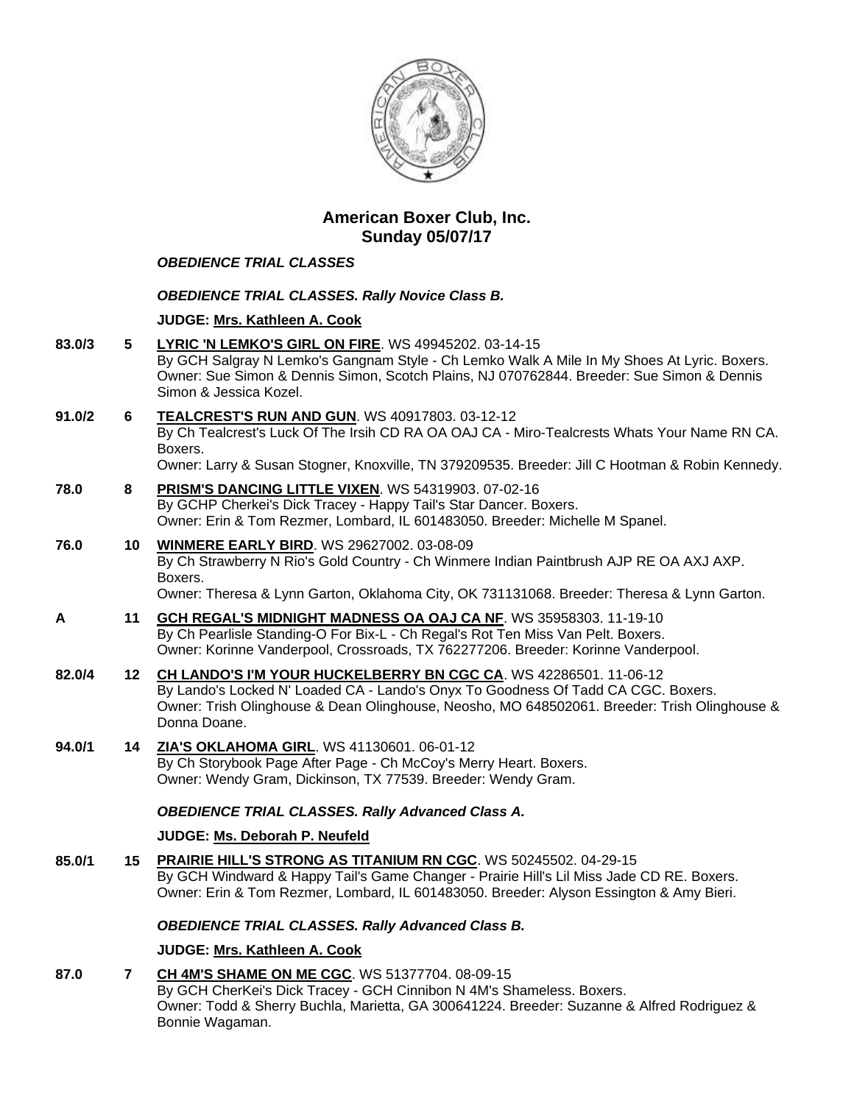

# **American Boxer Club, Inc. Sunday 05/07/17**

### *OBEDIENCE TRIAL CLASSES*

#### *OBEDIENCE TRIAL CLASSES. Rally Novice Class B.*

#### **JUDGE: [Mrs. Kathleen A. Cook](http://infodog.com/show/judge/jdgprofile.htm?jn=37193)**

- **83.0/3 5 [LYRIC 'N LEMKO'S GIRL ON FIRE](http://infodog.com/my/drlookup2.htm?makc=WS%2049945202&mdog=Lyric+%27N+Lemko%27s+Girl+On+Fire&wins=all)**. WS 49945202. 03-14-15 By GCH Salgray N Lemko's Gangnam Style - Ch Lemko Walk A Mile In My Shoes At Lyric. Boxers. Owner: Sue Simon & Dennis Simon, Scotch Plains, NJ 070762844. Breeder: Sue Simon & Dennis Simon & Jessica Kozel.
- **91.0/2 6 [TEALCREST'S RUN AND GUN](http://infodog.com/my/drlookup2.htm?makc=WS%2040917803&mdog=Tealcrest%27s+Run+And+Gun&wins=all)**. WS 40917803. 03-12-12 By Ch Tealcrest's Luck Of The Irsih CD RA OA OAJ CA - Miro-Tealcrests Whats Your Name RN CA. Boxers. Owner: Larry & Susan Stogner, Knoxville, TN 379209535. Breeder: Jill C Hootman & Robin Kennedy.
- **78.0 8 [PRISM'S DANCING LITTLE VIXEN](http://infodog.com/my/drlookup2.htm?makc=WS%2054319903&mdog=Prism%27s+Dancing+Little+Vixen&wins=all)**. WS 54319903. 07-02-16 By GCHP Cherkei's Dick Tracey - Happy Tail's Star Dancer. Boxers. Owner: Erin & Tom Rezmer, Lombard, IL 601483050. Breeder: Michelle M Spanel.
- **76.0 10 [WINMERE EARLY BIRD](http://infodog.com/my/drlookup2.htm?makc=WS%2029627002&mdog=Winmere+Early+Bird&wins=all)**. WS 29627002. 03-08-09 By Ch Strawberry N Rio's Gold Country - Ch Winmere Indian Paintbrush AJP RE OA AXJ AXP. Boxers. Owner: Theresa & Lynn Garton, Oklahoma City, OK 731131068. Breeder: Theresa & Lynn Garton.
- **A 11 [GCH REGAL'S MIDNIGHT MADNESS OA OAJ CA NF](http://infodog.com/my/drlookup2.htm?makc=WS%2035958303&mdog=GCH+Regal%27s+Midnight+Madness+OA+OAJ+CA+NF&wins=all)**. WS 35958303. 11-19-10 By Ch Pearlisle Standing-O For Bix-L - Ch Regal's Rot Ten Miss Van Pelt. Boxers. Owner: Korinne Vanderpool, Crossroads, TX 762277206. Breeder: Korinne Vanderpool.
- **82.0/4 12 CH [LANDO'S I'M YOUR HUCKELBERRY BN CGC CA](http://infodog.com/my/drlookup2.htm?makc=WS%2042286501&mdog=Ch+Lando%27s+I%27m+Your+Huckelberry+BN+CGC+CA&wins=all)**. WS 42286501. 11-06-12 By Lando's Locked N' Loaded CA - Lando's Onyx To Goodness Of Tadd CA CGC. Boxers. Owner: Trish Olinghouse & Dean Olinghouse, Neosho, MO 648502061. Breeder: Trish Olinghouse & Donna Doane.
- **94.0/1 14 [ZIA'S OKLAHOMA GIRL](http://infodog.com/my/drlookup2.htm?makc=WS%2041130601&mdog=Zia%27s+Oklahoma+Girl&wins=all)**. WS 41130601. 06-01-12 By Ch Storybook Page After Page - Ch McCoy's Merry Heart. Boxers. Owner: Wendy Gram, Dickinson, TX 77539. Breeder: Wendy Gram.

## *OBEDIENCE TRIAL CLASSES. Rally Advanced Class A.*

### **JUDGE: [Ms. Deborah P. Neufeld](http://infodog.com/show/judge/jdgprofile.htm?jn=19916)**

**85.0/1 15 [PRAIRIE HILL'S STRONG AS TITANIUM RN CGC](http://infodog.com/my/drlookup2.htm?makc=WS%2050245502&mdog=Prairie+Hill%27s+Strong+As+Titanium+RN+CGC&wins=all)**. WS 50245502. 04-29-15 By GCH Windward & Happy Tail's Game Changer - Prairie Hill's Lil Miss Jade CD RE. Boxers. Owner: Erin & Tom Rezmer, Lombard, IL 601483050. Breeder: Alyson Essington & Amy Bieri.

#### *OBEDIENCE TRIAL CLASSES. Rally Advanced Class B.*

### **JUDGE: [Mrs. Kathleen A. Cook](http://infodog.com/show/judge/jdgprofile.htm?jn=37193)**

**87.0 7 [CH 4M'S SHAME ON ME CGC](http://infodog.com/my/drlookup2.htm?makc=WS%2051377704&mdog=Ch+4M%27s+Shame+On+Me+CGC&wins=all)**. WS 51377704. 08-09-15 By GCH CherKei's Dick Tracey - GCH Cinnibon N 4M's Shameless. Boxers. Owner: Todd & Sherry Buchla, Marietta, GA 300641224. Breeder: Suzanne & Alfred Rodriguez & Bonnie Wagaman.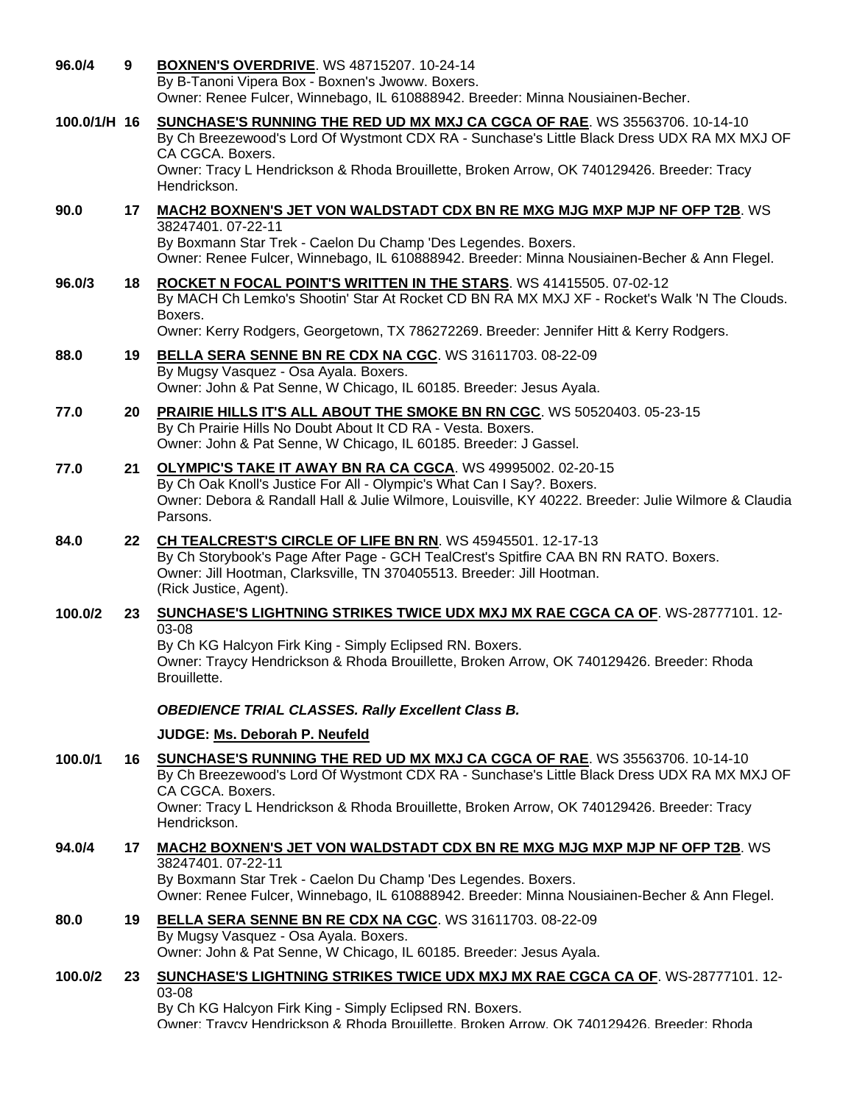| 96.0/4       | 9  | <b>BOXNEN'S OVERDRIVE. WS 48715207. 10-24-14</b><br>By B-Tanoni Vipera Box - Boxnen's Jwoww. Boxers.<br>Owner: Renee Fulcer, Winnebago, IL 610888942. Breeder: Minna Nousiainen-Becher.                                                                                                                        |
|--------------|----|----------------------------------------------------------------------------------------------------------------------------------------------------------------------------------------------------------------------------------------------------------------------------------------------------------------|
| 100.0/1/H 16 |    | SUNCHASE'S RUNNING THE RED UD MX MXJ CA CGCA OF RAE. WS 35563706. 10-14-10<br>By Ch Breezewood's Lord Of Wystmont CDX RA - Sunchase's Little Black Dress UDX RA MX MXJ OF<br>CA CGCA. Boxers.<br>Owner: Tracy L Hendrickson & Rhoda Brouillette, Broken Arrow, OK 740129426. Breeder: Tracy<br>Hendrickson.    |
| 90.0         | 17 | MACH2 BOXNEN'S JET VON WALDSTADT CDX BN RE MXG MJG MXP MJP NF OFP T2B. WS<br>38247401.07-22-11<br>By Boxmann Star Trek - Caelon Du Champ 'Des Legendes. Boxers.<br>Owner: Renee Fulcer, Winnebago, IL 610888942. Breeder: Minna Nousiainen-Becher & Ann Flegel.                                                |
| 96.0/3       | 18 | ROCKET N FOCAL POINT'S WRITTEN IN THE STARS. WS 41415505. 07-02-12<br>By MACH Ch Lemko's Shootin' Star At Rocket CD BN RA MX MXJ XF - Rocket's Walk 'N The Clouds.<br>Boxers.<br>Owner: Kerry Rodgers, Georgetown, TX 786272269. Breeder: Jennifer Hitt & Kerry Rodgers.                                       |
| 88.0         | 19 | BELLA SERA SENNE BN RE CDX NA CGC. WS 31611703. 08-22-09<br>By Mugsy Vasquez - Osa Ayala. Boxers.<br>Owner: John & Pat Senne, W Chicago, IL 60185. Breeder: Jesus Ayala.                                                                                                                                       |
| 77.0         | 20 | <b>PRAIRIE HILLS IT'S ALL ABOUT THE SMOKE BN RN CGC. WS 50520403. 05-23-15</b><br>By Ch Prairie Hills No Doubt About It CD RA - Vesta. Boxers.<br>Owner: John & Pat Senne, W Chicago, IL 60185. Breeder: J Gassel.                                                                                             |
| 77.0         | 21 | OLYMPIC'S TAKE IT AWAY BN RA CA CGCA. WS 49995002. 02-20-15<br>By Ch Oak Knoll's Justice For All - Olympic's What Can I Say?. Boxers.<br>Owner: Debora & Randall Hall & Julie Wilmore, Louisville, KY 40222. Breeder: Julie Wilmore & Claudia<br>Parsons.                                                      |
| 84.0         | 22 | CH TEALCREST'S CIRCLE OF LIFE BN RN. WS 45945501. 12-17-13<br>By Ch Storybook's Page After Page - GCH TealCrest's Spitfire CAA BN RN RATO. Boxers.<br>Owner: Jill Hootman, Clarksville, TN 370405513. Breeder: Jill Hootman.<br>(Rick Justice, Agent).                                                         |
| 100.0/2      | 23 | SUNCHASE'S LIGHTNING STRIKES TWICE UDX MXJ MX RAE CGCA CA OF. WS-28777101. 12-                                                                                                                                                                                                                                 |
|              |    | 03-08<br>By Ch KG Halcyon Firk King - Simply Eclipsed RN. Boxers.<br>Owner: Traycy Hendrickson & Rhoda Brouillette, Broken Arrow, OK 740129426. Breeder: Rhoda<br>Brouillette.                                                                                                                                 |
|              |    | <b>OBEDIENCE TRIAL CLASSES. Rally Excellent Class B.</b>                                                                                                                                                                                                                                                       |
|              |    | JUDGE: Ms. Deborah P. Neufeld                                                                                                                                                                                                                                                                                  |
| 100.0/1      |    | 16 SUNCHASE'S RUNNING THE RED UD MX MXJ CA CGCA OF RAE. WS 35563706. 10-14-10<br>By Ch Breezewood's Lord Of Wystmont CDX RA - Sunchase's Little Black Dress UDX RA MX MXJ OF<br>CA CGCA. Boxers.<br>Owner: Tracy L Hendrickson & Rhoda Brouillette, Broken Arrow, OK 740129426. Breeder: Tracy<br>Hendrickson. |
| 94.0/4       | 17 | MACH2 BOXNEN'S JET VON WALDSTADT CDX BN RE MXG MJG MXP MJP NF OFP T2B. WS<br>38247401.07-22-11<br>By Boxmann Star Trek - Caelon Du Champ 'Des Legendes. Boxers.<br>Owner: Renee Fulcer, Winnebago, IL 610888942. Breeder: Minna Nousiainen-Becher & Ann Flegel.                                                |
| 80.0         | 19 | BELLA SERA SENNE BN RE CDX NA CGC. WS 31611703. 08-22-09<br>By Mugsy Vasquez - Osa Ayala. Boxers.<br>Owner: John & Pat Senne, W Chicago, IL 60185. Breeder: Jesus Ayala.                                                                                                                                       |
| 100.0/2      | 23 | <b>SUNCHASE'S LIGHTNING STRIKES TWICE UDX MXJ MX RAE CGCA CA OF. WS-28777101. 12-</b><br>03-08                                                                                                                                                                                                                 |
|              |    | By Ch KG Halcyon Firk King - Simply Eclipsed RN. Boxers.<br>Owner: Travcy Hendrickson & Rhoda Brouillette, Broken Arrow, OK 740129426, Breeder: Rhoda                                                                                                                                                          |